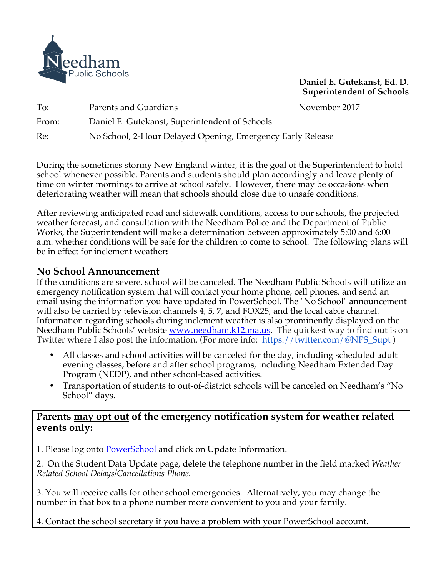

**Daniel E. Gutekanst, Ed. D. Superintendent of Schools**

| To:   | Parents and Guardians                                      | November 2017 |
|-------|------------------------------------------------------------|---------------|
| From: | Daniel E. Gutekanst, Superintendent of Schools             |               |
| Re:   | No School, 2-Hour Delayed Opening, Emergency Early Release |               |

During the sometimes stormy New England winter, it is the goal of the Superintendent to hold school whenever possible. Parents and students should plan accordingly and leave plenty of time on winter mornings to arrive at school safely. However, there may be occasions when deteriorating weather will mean that schools should close due to unsafe conditions.

After reviewing anticipated road and sidewalk conditions, access to our schools, the projected weather forecast, and consultation with the Needham Police and the Department of Public Works, the Superintendent will make a determination between approximately 5:00 and 6:00 a.m. whether conditions will be safe for the children to come to school. The following plans will be in effect for inclement weather**:**

## **No School Announcement**

If the conditions are severe, school will be canceled. The Needham Public Schools will utilize an emergency notification system that will contact your home phone, cell phones, and send an email using the information you have updated in PowerSchool. The "No School" announcement will also be carried by television channels 4, 5, 7, and FOX25, and the local cable channel. Information regarding schools during inclement weather is also prominently displayed on the Needham Public Schools' website www.needham.k12.ma.us. The quickest way to find out is on Twitter where I also post the information. (For more info: https://twitter.com/@NPS\_Supt)

- All classes and school activities will be canceled for the day, including scheduled adult evening classes, before and after school programs, including Needham Extended Day Program (NEDP), and other school-based activities.
- Transportation of students to out-of-district schools will be canceled on Needham's "No School" days.

## **Parents may opt out of the emergency notification system for weather related events only:**

1. Please log onto PowerSchool and click on Update Information.

2. On the Student Data Update page, delete the telephone number in the field marked *Weather Related School Delays/Cancellations Phone.*

3. You will receive calls for other school emergencies. Alternatively, you may change the number in that box to a phone number more convenient to you and your family.

4. Contact the school secretary if you have a problem with your PowerSchool account.